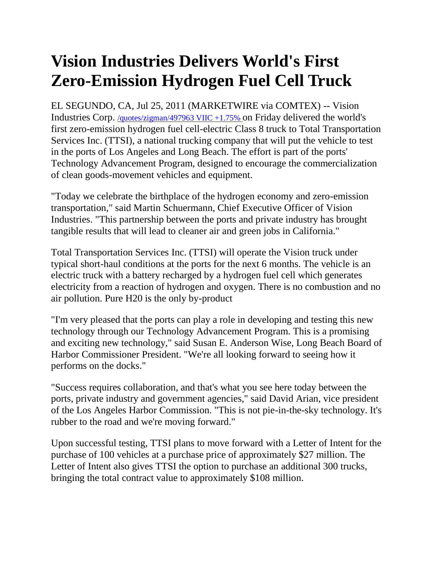## **Vision Industries Delivers World's First Zero-Emission Hydrogen Fuel Cell Truck**

EL SEGUNDO, CA, Jul 25, 2011 (MARKETWIRE via COMTEX) -- Vision Industries Corp. [/quotes/zigman/497963 VIIC +1.75%](http://www.marketwatch.com/investing/stock/VIIC?link=MW_story_quote) on Friday delivered the world's first zero-emission hydrogen fuel cell-electric Class 8 truck to Total Transportation Services Inc. (TTSI), a national trucking company that will put the vehicle to test in the ports of Los Angeles and Long Beach. The effort is part of the ports' Technology Advancement Program, designed to encourage the commercialization of clean goods-movement vehicles and equipment.

"Today we celebrate the birthplace of the hydrogen economy and zero-emission transportation," said Martin Schuermann, Chief Executive Officer of Vision Industries. "This partnership between the ports and private industry has brought tangible results that will lead to cleaner air and green jobs in California."

Total Transportation Services Inc. (TTSI) will operate the Vision truck under typical short-haul conditions at the ports for the next 6 months. The vehicle is an electric truck with a battery recharged by a hydrogen fuel cell which generates electricity from a reaction of hydrogen and oxygen. There is no combustion and no air pollution. Pure H20 is the only by-product

"I'm very pleased that the ports can play a role in developing and testing this new technology through our Technology Advancement Program. This is a promising and exciting new technology," said Susan E. Anderson Wise, Long Beach Board of Harbor Commissioner President. "We're all looking forward to seeing how it performs on the docks."

"Success requires collaboration, and that's what you see here today between the ports, private industry and government agencies," said David Arian, vice president of the Los Angeles Harbor Commission. "This is not pie-in-the-sky technology. It's rubber to the road and we're moving forward."

Upon successful testing, TTSI plans to move forward with a Letter of Intent for the purchase of 100 vehicles at a purchase price of approximately \$27 million. The Letter of Intent also gives TTSI the option to purchase an additional 300 trucks, bringing the total contract value to approximately \$108 million.